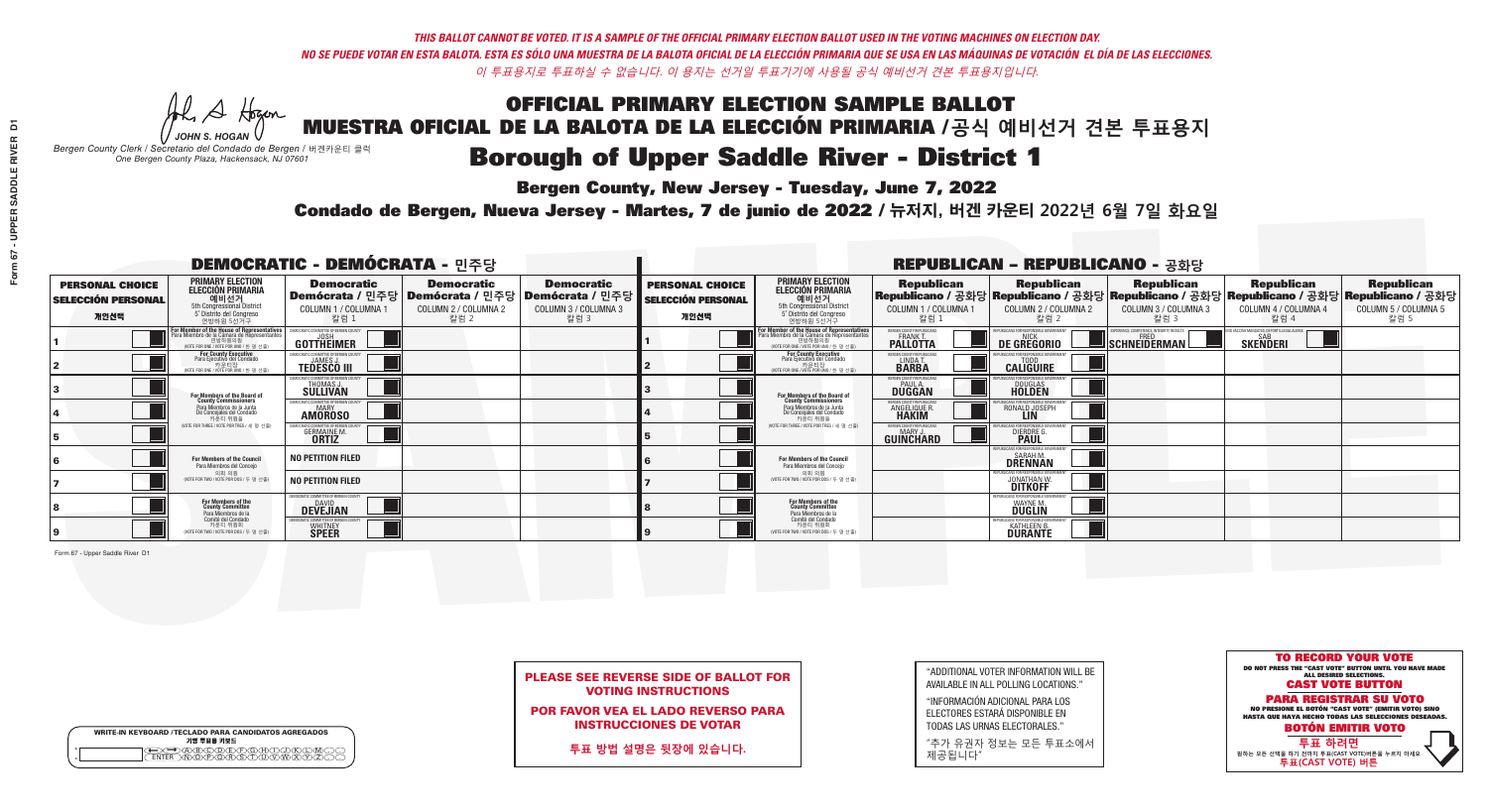**Bergen County, New Jersey - Tuesday, June 7, 2022** 

A Hogen *JOHN S. HOGAN*

| <b>WRITE-IN KEYBOARD /TECLADO PARA CANDIDATOS AGREGADOS</b><br>기명 투표용 키보드 |  |
|---------------------------------------------------------------------------|--|
| ACBCODECPGCHOX<br><u>\ጝሸጽ</u> ጽጽችአ                                        |  |

*Bergen County Clerk / Secretario del Condado de Bergen /* 버겐카운티 클럭 *One Bergen County Plaza, Hackensack, NJ 07601*



PLEASE SEE REVERSE SIDE OF BALLOT FOR VOTING INSTRUCTIONS

POR FAVOR VEA EL LADO REVERSO PARA INSTRUCCIONES DE VOTAR

**투표 방법 설명은 뒷장에 있습니다.**

| "ADDITIONAL VOTER INFORMATION WILL BE |
|---------------------------------------|
| AVAILABLE IN ALL POLLING LOCATIONS."  |

"INFORMACIÓN ADICIONAL PARA LOS ELECTORES ESTARÁ DISPONIBLE EN TODAS LAS URNAS ELECTORALES."

"추가 유권자 정보는 모든 투표소에서 제공됩니다"

Condado de Bergen, Nueva Jersey - Martes, 7 de junio de 2022 / 뉴저지, 버겐 카운티 2022년 6월 7일 화요일 *One Bergen County Plaza, Hackensack, NJ 07601*

| <b>DEMOCRATIC - DEMÓCRATA - 민주당</b>                         |                                                                                                                                                       |                                                                        |                                                                                       |                                                                        |                                                             |                                                                                                                                               |                                                               | <b>REPUBLICAN - REPUBLICANO - 공화당</b>                                 |                                                          |                                                                                                                                                |                                                   |
|-------------------------------------------------------------|-------------------------------------------------------------------------------------------------------------------------------------------------------|------------------------------------------------------------------------|---------------------------------------------------------------------------------------|------------------------------------------------------------------------|-------------------------------------------------------------|-----------------------------------------------------------------------------------------------------------------------------------------------|---------------------------------------------------------------|-----------------------------------------------------------------------|----------------------------------------------------------|------------------------------------------------------------------------------------------------------------------------------------------------|---------------------------------------------------|
| <b>PERSONAL CHOICE</b><br><b>SELECCIÓN PERSONAL</b><br>개인선택 | <b>PRIMARY ELECTION</b><br><b>ELECCIÓN PRIMARIA</b><br>예비선거<br>5th Congressional District<br>5° Distrito del Congreso<br>연방하원 5선거구                    | <b>Democratic</b><br>COLUMN 1 / COLUMNA 1<br>칼럼 1                      | <b>Democratic</b><br>│Demócrata / 민주당│Demócrata / 민주당<br>COLUMN 2 / COLUMNA 2<br>칼럼 2 | <b>Democratic</b><br>Demócrata / 민주당  <br>COLUMN 3 / COLUMNA 3<br>칼럼 3 | <b>PERSONAL CHOICE</b><br><b>SELECCIÓN PERSONAL</b><br>개인선택 | <b>PRIMARY ELECTION</b><br>ELECCIÓN PRIMARIA<br>예비선거<br>5th Congressional District<br>5° Distrito del Congreso<br>연방하원 5선거구                   | <b>Republican</b><br>COLUMN 1 / COLUMNA 1<br>칼럼 :             | <b>Republican</b><br>COLUMN 2 / COLUMNA 2<br>칼럼 2                     | <b>Republican</b><br>COLUMN 3 / COLUMNA 3<br>칼럼 3        | <b>Republican</b><br>Republicano / 공화당 Republicano / 공화당 Republicano / 공화당 Republicano / 공화당 Republicano / 공화당<br>COLUMN 4 / COLUMNA 4<br>칼럼 4 | <b>Republican</b><br>COLUMN 5 / COLUMNA 5<br>칼럼 5 |
|                                                             | <b>For Member of the House of Representatives<br/>Para Miembro de la Cámara de Representantes</b><br>연방하원의원<br>(VOTE FOR ONE / VOTE POR UNO / 한 명 선출) | DEMOCRATIC COMMITTEE OF BERGEN COUNT<br>GOTTHEIMER                     |                                                                                       |                                                                        |                                                             | For Member of the House of Representatives<br>Para Miembro de la Cámara de Representantes<br>연방하원의원<br>(VOTE FOR ONE / VOTE POR UNO / 한 명 선출) | ERGEN COUNTY REPUBLICAN<br><b>PALLOTTA</b>                    | DE GREGORIO                                                           | PERIENCE. COMPETENCE. INTEGRITY. RESULTS<br>SCHNEIDERMAN | VACCINE MANDATES, DEPORT ILLEGAL ALIENS<br><b>SKENDERI</b>                                                                                     |                                                   |
|                                                             | For County Executive<br>Para Ejecutivo del Condado<br>. 카운티장<br>(VOTE FOR ONE / VOTE POR UNO / 한 명 선출)                                                | FMOCRATIC COMMITTEE OF BERGEN COUNTY<br><b>TEDESCO III</b>             |                                                                                       |                                                                        |                                                             | For County Executive<br>Para Ejecutivo del Condado<br>7 카운티장<br>(VOTE FOR ONE / VOTE POR UNO / 한 명 선출)                                        | BERGEN COUNTY REPUBLICAN<br>LINDAT.                           | <b>CALIGUIRE</b>                                                      |                                                          |                                                                                                                                                |                                                   |
|                                                             | For Members of the Board of<br>County Commissioners                                                                                                   | EMOCRATIC COMMITTEE OF BERGEN COUNTY<br>THOMAS J<br><b>SÜLLIVAN</b>    |                                                                                       |                                                                        |                                                             | For Members of the Board of<br>County Commissioners                                                                                           | ERGEN COUNTY REPUBLICAN<br><b>DUGGAN</b>                      | <b>DOUGLAS</b><br><b>HOLDEN</b>                                       |                                                          |                                                                                                                                                |                                                   |
|                                                             | Para Miembros de la Junta<br>De Concejales del Condado<br>카우티 위원들                                                                                     | MOCRATIC COMMITTEE OF BERGEN COUNTY<br>MARY<br><b>AMOROSO</b>          |                                                                                       |                                                                        |                                                             | Para Miembros de la Junta<br>De Concejales del Condado<br>카우티 위원들                                                                             | ERGEN COUNTY REPUBLICAN<br><b>ANGELIQUE R</b><br><b>HAKIM</b> | RONALD JOSEPH                                                         |                                                          |                                                                                                                                                |                                                   |
|                                                             | (VOTE FOR THREE / VOTE POR TRES / 세 명 선출)                                                                                                             | OCRATIC COMMITTEE OF BERGEN CO<br><b>GERMAINE M.</b><br><b>ORTIZ</b>   |                                                                                       |                                                                        |                                                             | (VOTE FOR THREE / VOTE POR TRES / 세 명 선출                                                                                                      | BERGEN COUNTY REPUBLICANS<br>MARY .I<br>GUINCHARD             | FOR RESPONSIBLE GO<br><b>DIERDRE</b>                                  |                                                          |                                                                                                                                                |                                                   |
|                                                             | For Members of the Council<br>Para Miembros del Concejo                                                                                               | <b>NO PETITION FILED</b>                                               |                                                                                       |                                                                        |                                                             | For Members of the Council<br>Para Miembros del Conceio                                                                                       |                                                               | 'UBI ICANS FOR RESPONSIBI E GO<br><b>SARAH M</b><br>DŘÊNNAN           |                                                          |                                                                                                                                                |                                                   |
|                                                             | 의회 의원<br>(VOTE FOR TWO / VOTE POR DOS / 두 명 선출                                                                                                        | <b>NO PETITION FILED</b>                                               |                                                                                       |                                                                        |                                                             | 의회 의원<br>NOTE FOR TWO / VOTE POR DOS / 두 명 선출)                                                                                                |                                                               | PUBLICANS FOR RESPONSIBLE GOVI<br><b>JONATHAN W.</b>                  |                                                          |                                                                                                                                                |                                                   |
|                                                             | For Members of the<br>County Committee<br>Para Miembros de la<br>Comité del Condado                                                                   | MOCRATIC COMMITTEE OF BERGEN COUNTY<br><b>DAVID</b><br><b>DEVEJIAN</b> |                                                                                       |                                                                        |                                                             | For Members of the<br>County Committee<br>Para Miembros de la<br>Comité del Condado                                                           |                                                               | PUBI ICANS FOR RESPONSIBI E G<br><b>WAYNE M</b><br>DUGLIN             |                                                          |                                                                                                                                                |                                                   |
|                                                             | 카운티 위원회<br>(VOTE FOR TWO / VOTE POR DOS / 두 명 선출)                                                                                                     | MOCRATIC COMMITTEE OF BERGEN COUNT<br><b>WHITNEY</b><br><b>SPEER</b>   |                                                                                       |                                                                        |                                                             | 카운티 위원회<br>WOTE FOR TWO / VOTE POR DOS / 두 명 선출)                                                                                              |                                                               | PUBLICANS FOR RESPONSIBLE GOV<br><b>KATHLEEN B.</b><br><b>DURANTE</b> |                                                          |                                                                                                                                                |                                                   |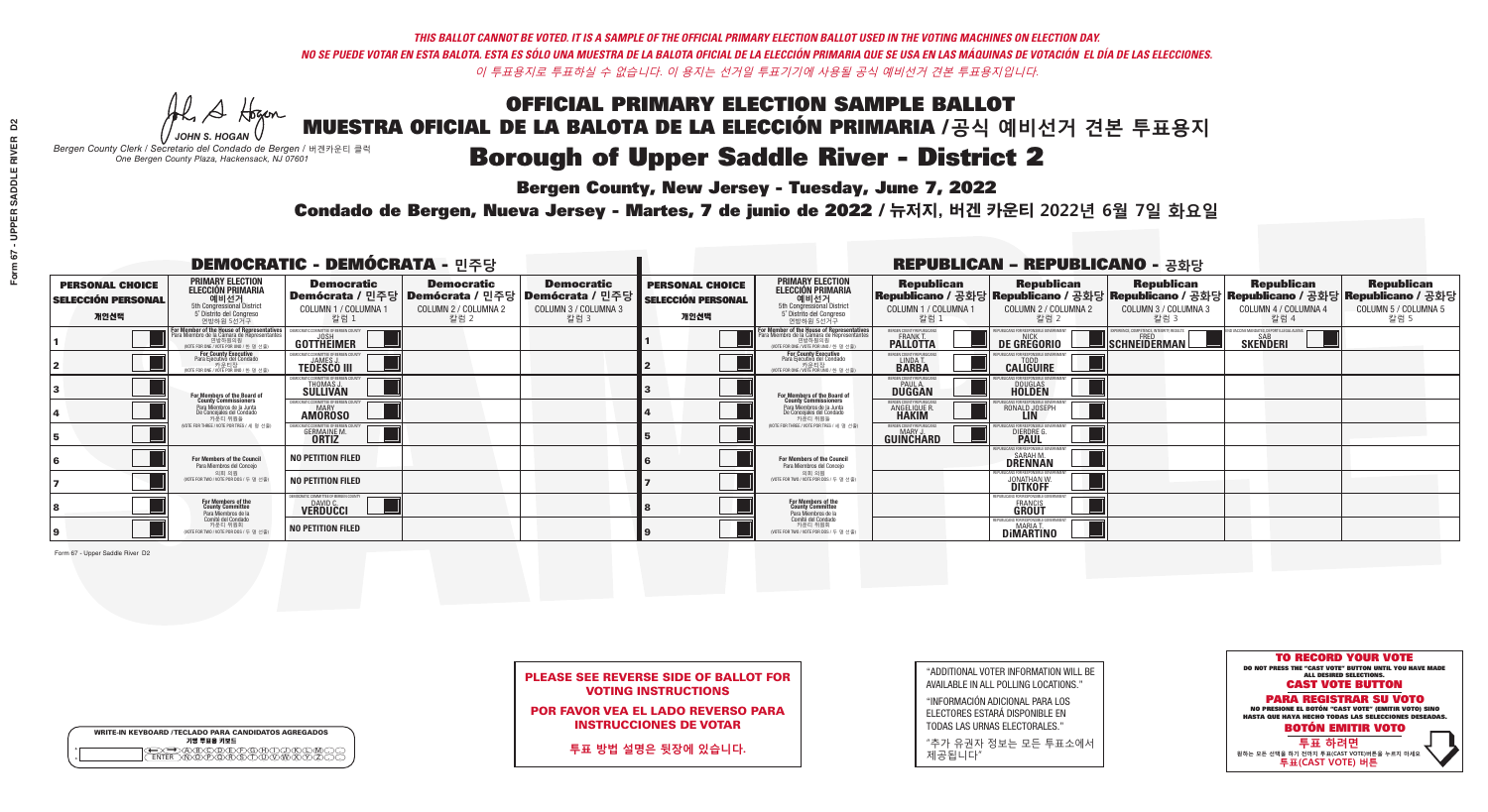**Bergen County, New Jersey - Tuesday, June 7, 2022** 

A Hogen *JOHN S. HOGAN*

| <b>WRITE-IN KEYBOARD /TECLADO PARA CANDIDATOS AGREGADOS</b><br>기명 투표용 키보드 |  |
|---------------------------------------------------------------------------|--|
| >A®©®©P©®©<br>}M@P@®\$OD@W                                                |  |

*Bergen County Clerk / Secretario del Condado de Bergen /* 버겐카운티 클럭 *One Bergen County Plaza, Hackensack, NJ 07601*

Condado de Bergen, Nueva Jersey - Martes, 7 de junio de 2022 / 뉴저지, 버겐 카운티 2022년 6월 7일 화요일 *One Bergen County Plaza, Hackensack, NJ 07601*



|                            | <b>PLEASE SEE REVERSE SIDE OF BALLOT FOR</b> |
|----------------------------|----------------------------------------------|
| <b>VOTING INSTRUCTIONS</b> |                                              |

POR FAVOR VEA EL LADO REVERSO PARA INSTRUCCIONES DE VOTAR

**투표 방법 설명은 뒷장에 있습니다.**

"ADDITIONAL VOTER INFORMATION WILL BE AVAILABLE IN ALL POLLING LOCATIONS."

"INFORMACIÓN ADICIONAL PARA LOS ELECTORES ESTARÁ DISPONIBLE EN TODAS LAS URNAS ELECTORALES."

"추가 유권자 정보는 모든 투표소에서 제공됩니다"

| <b>DEMOCRATIC - DEMÓCRATA - 민주당</b>                         |                                                                                                                                               |                                                                       |                                                   |                                                                                                        |                                                             |                                                                                                                                               | <b>REPUBLICAN - REPUBLICANO - 공화당</b>                      |                                                                                                                                                |                                                          |                                                            |                                                   |
|-------------------------------------------------------------|-----------------------------------------------------------------------------------------------------------------------------------------------|-----------------------------------------------------------------------|---------------------------------------------------|--------------------------------------------------------------------------------------------------------|-------------------------------------------------------------|-----------------------------------------------------------------------------------------------------------------------------------------------|------------------------------------------------------------|------------------------------------------------------------------------------------------------------------------------------------------------|----------------------------------------------------------|------------------------------------------------------------|---------------------------------------------------|
| <b>PERSONAL CHOICE</b><br><b>SELECCIÓN PERSONAL</b><br>개인선택 | <b>PRIMARY ELECTION</b><br><b>ELECCIÓN PRIMARIA</b><br>예비선거<br>5th Congressional District<br>5° Distrito del Congreso<br>연방하원 5선거구            | <b>Democratic</b><br>COLUMN 1 / COLUMNA 1<br>칼럼 1                     | <b>Democratic</b><br>COLUMN 2 / COLUMNA 2<br>칼럼 2 | <b>Democratic</b><br>│Demócrata / 민주당│Demócrata / 민주당│Demócrata / 민주당│<br>COLUMN 3 / COLUMNA 3<br>칼럼 3 | <b>PERSONAL CHOICE</b><br><b>SELECCIÓN PERSONAL</b><br>개인선택 | <b>PRIMARY ELECTION</b><br><b>ELECCIÓN PRIMARIA</b><br><u>. 예비선거</u><br>5th Congressional District<br>5° Distrito del Congreso<br>연방하원 5선거구   | <b>Republican</b><br>COLUMN 1 / COLUMNA 1<br>칼럼            | <b>Republican</b><br>Republicano / 공화당 Republicano / 공화당 Republicano / 공화당 Republicano / 공화당 Republicano / 공화당<br>COLUMN 2 / COLUMNA 2<br>칼럼 2 | Republican<br>COLUMN 3 / COLUMNA 3<br>칼럼 3               | <b>Republican</b><br>COLUMN 4 / COLUMNA 4<br>칼럼 4          | <b>Republican</b><br>COLUMN 5 / COLUMNA 5<br>칼럼 5 |
|                                                             | For Member of the House of Representatives<br>Para Miembro de la Cámara de Representantes<br>연방하원의원<br>(VOTE FOR ONE / VOTE POR UNO / 한 명 선출) | GOTTHEIMER                                                            |                                                   |                                                                                                        |                                                             | For Member of the House of Representatives<br>Para Miembro de la Cámara de Representantes<br>연방하원의원<br>(VOTE FOR ONE / VOTE POR UNO / 한 명 선출) | BERGEN COUNTY REPUBLICANS<br>FRANK T.<br><b>PALLOTTA</b>   | DE GREGORIO                                                                                                                                    | PERIENCE, COMPETENCE, INTEGRITY, RESULTS<br>SCHNEIDERMAN | VACCINE MANDATES, DEPORT ILLEGAL ALIENS<br><b>SKENDERI</b> |                                                   |
|                                                             | For County Executive<br>Para Ejecutivo del Condado<br>. 카운티장<br>(VOTE FOR ONE / VOTE POR UNO / 한 명 선출)                                        | PEMOCRATIC COMMITTEE OF BERGEN COUNTY<br><b>TEDESCO III</b>           |                                                   |                                                                                                        |                                                             | <b>For County Executive</b><br>Para Ejecutivo del Condado<br>7) 카운티장<br>(VOTE FOR ONE / VOTE POR UNO / 한 명 선출)                                | BERGEN COUNTY REPUBLICAN<br>LINDA T.                       | <b>CALIGUIRE</b>                                                                                                                               |                                                          |                                                            |                                                   |
|                                                             | For Members of the Board of<br>County Commissioners                                                                                           | MOCRATIC COMMITTEE OF BERGEN COUNTY<br>THOMAS J.                      |                                                   |                                                                                                        |                                                             | For Members of the Board of<br>County Commissioners                                                                                           | ERGEN COUNTY REPUBLICAN<br><b>PAUL A.</b><br><b>DUGGAN</b> | <b>DOUGLAS</b>                                                                                                                                 |                                                          |                                                            |                                                   |
|                                                             | Para Miembros de la Junta<br>De Concejales del Condado<br>카우티 위원들                                                                             | CRATIC COMMITTEE OF BERGEN COUNTY<br>MARY<br><b>AMOROSO</b>           |                                                   |                                                                                                        |                                                             | Para Miembros de la Junta<br>De Concejales del Condado<br>카우티 위원들                                                                             | <b>FRGEN COUNTY REPUBLICAN</b><br>ANGELIQUE R              | RONALD JOSEPH                                                                                                                                  |                                                          |                                                            |                                                   |
|                                                             | NOTE FOR THREE / VOTE POR TRES / 세 명 선출)                                                                                                      | RATIC COMMITTEE OF BERGEN COUNT<br><b>GERMAINE M.</b><br><b>ORTIZ</b> |                                                   |                                                                                                        |                                                             | (VOTE FOR THREE / VOTE POR TRES / 세 명 선출)                                                                                                     | ERGEN COUNTY REPUBLICANS<br>MARY J.<br>GUINCHARD           | <b>DIERDRE G</b><br><b>PAUL</b>                                                                                                                |                                                          |                                                            |                                                   |
|                                                             | For Members of the Council<br>Para Miembros del Conceio                                                                                       | <b>NO PETITION FILED</b>                                              |                                                   |                                                                                                        |                                                             | <b>For Members of the Council</b><br>Para Miembros del Conceio                                                                                |                                                            | JBI ICANS FOR RESPONSIBI E GO<br>SARAH M<br>DŘÊNNAN                                                                                            |                                                          |                                                            |                                                   |
|                                                             | 의회 의원<br>(VOTE FOR TWO / VOTE POR DOS / 두 명 선출                                                                                                | <b>NO PETITION FILED</b>                                              |                                                   |                                                                                                        |                                                             | 의회 의원<br>(VOTE FOR TWO / VOTE POR DOS / 두 명 선출)                                                                                               |                                                            | UIBI ICANS FOR RESPONSIBI E GOVI<br>JONATHAN W.<br>DITKOFF                                                                                     |                                                          |                                                            |                                                   |
|                                                             | For Members of the<br>County Committee<br>Para Miembros de la                                                                                 | MOCRATIC COMMITTEE OF BERGEN COUNTY<br>DAVID C.                       |                                                   |                                                                                                        |                                                             | For Members of the<br>County Committee<br>Para Miembros de la<br>Comité del Condado                                                           |                                                            | PUBLICANS FOR RESPONSIBLI<br><b>FRANCIS</b><br><b>GROUT</b>                                                                                    |                                                          |                                                            |                                                   |
|                                                             | Comité del Condado<br>카운티 위원회<br>NOTE FOR TWO / VOTE POR DOS / 두 명 선출)                                                                        | <b>NO PETITION FILED</b>                                              |                                                   |                                                                                                        |                                                             | 카운티 위원회<br>(VOTE FOR TWO / VOTE POR DOS / 두 명 선출)                                                                                             |                                                            | PUBLICANS FOR RESPONSIBLE 6<br>MARIA <sub>1</sub><br><b>DIMARTINO</b>                                                                          |                                                          |                                                            |                                                   |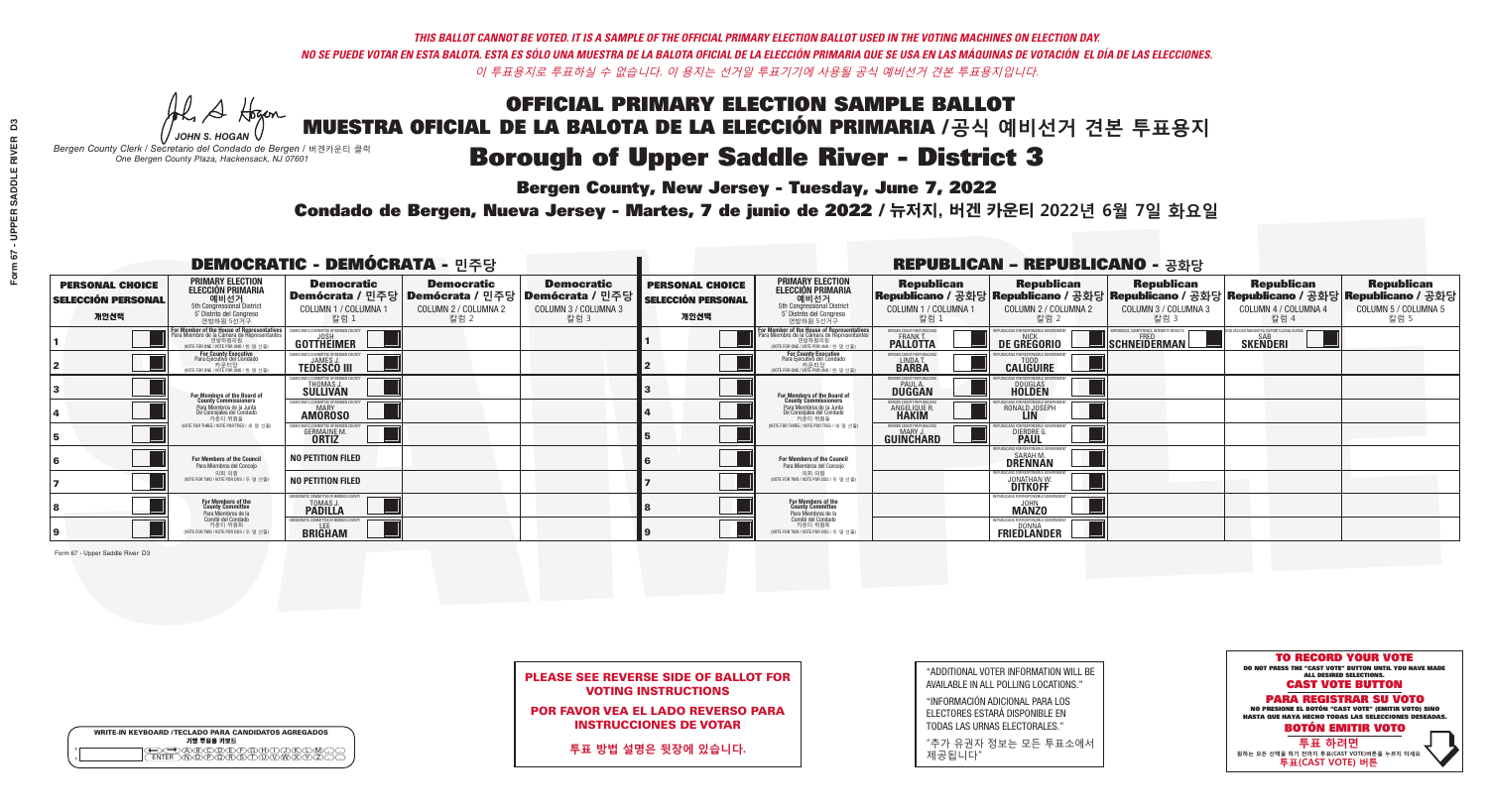**Bergen County, New Jersey - Tuesday, June 7, 2022** 

A Hogen *JOHN S. HOGAN*

| <b>WRITE-IN KEYBOARD /TECLADO PARA CANDIDATOS AGREGADOS</b><br>기명 투표용 키보드 |  |
|---------------------------------------------------------------------------|--|
| )BODEEOBDG<br>bororsamww<br><b>FNTFR</b>                                  |  |

*Bergen County Clerk / Secretario del Condado de Bergen /* 버겐카운티 클럭 *One Bergen County Plaza, Hackensack, NJ 07601*



| <b>PLEASE SEE REVERSE SIDE OF BALLOT FOR</b> |
|----------------------------------------------|
| <b>VOTING INSTRUCTIONS</b>                   |

POR FAVOR VEA EL LADO REVERSO PARA INSTRUCCIONES DE VOTAR

**투표 방법 설명은 뒷장에 있습니다.**

"ADDITIONAL VOTER INFORMATION WILL BE AVAILABLE IN ALL POLLING LOCATIONS."

"INFORMACIÓN ADICIONAL PARA LOS ELECTORES ESTARÁ DISPONIBLE EN TODAS LAS URNAS ELECTORALES."

"추가 유권자 정보는 모든 투표소에서 제공됩니다"

Condado de Bergen, Nueva Jersey - Martes, 7 de junio de 2022 / 뉴저지, 버겐 카운티 2022년 6월 7일 화요일 *One Bergen County Plaza, Hackensack, NJ 07601*

| <b>DEMOCRATIC - DEMÓCRATA - 민주당</b>                         |                                                                                                                                               |                                                                       |                                                   |                                                                                                        |                                                             |                                                                                                                                               |                                                        | <b>REPUBLICAN - REPUBLICANO - 공화당</b>                          |                                                                                     |                                                                                                                                                |                                                   |
|-------------------------------------------------------------|-----------------------------------------------------------------------------------------------------------------------------------------------|-----------------------------------------------------------------------|---------------------------------------------------|--------------------------------------------------------------------------------------------------------|-------------------------------------------------------------|-----------------------------------------------------------------------------------------------------------------------------------------------|--------------------------------------------------------|----------------------------------------------------------------|-------------------------------------------------------------------------------------|------------------------------------------------------------------------------------------------------------------------------------------------|---------------------------------------------------|
| <b>PERSONAL CHOICE</b><br><b>SELECCIÓN PERSONAL</b><br>개인선택 | <b>PRIMARY ELECTION</b><br><b>ELECCIÓN PRIMARIA</b><br>예비선거<br><sup>5th</sup> Congressional District<br>5° Distrito del Congreso<br>연방하원 5선거구 | <b>Democratic</b><br>COLUMN 1 / COLUMNA 1<br>칼럼 1                     | <b>Democratic</b><br>COLUMN 2 / COLUMNA 2<br>칼럼 2 | <b>Democratic</b><br>│Demócrata / 민주당│Demócrata / 민주당│Demócrata / 민주당│<br>COLUMN 3 / COLUMNA 3<br>칼럼 3 | <b>PERSONAL CHOICE</b><br><b>SELECCIÓN PERSONAL</b><br>개인선택 | <b>PRIMARY ELECTION</b><br>ELECCIÓN PRIMARIA<br>예비선거<br>5th Congressional District<br>5° Distrito del Congreso<br>연방하원 5선거구                   | <b>Republican</b><br>COLUMN 1 / COLUMNA 1<br>칼럼.       | <b>Republican</b><br>COLUMN 2 / COLUMNA 2<br>칼럼 2              | <b>Republican</b><br>COLUMN 3 / COLUMNA 3<br>칼럼 3                                   | <b>Republican</b><br>Republicano / 공화당 Republicano / 공화당 Republicano / 공화당 Republicano / 공화당 Republicano / 공화당<br>COLUMN 4 / COLUMNA 4<br>칼럼 4 | <b>Republican</b><br>COLUMN 5 / COLUMNA 5<br>칼럼 5 |
|                                                             | For Member of the House of Representatives<br>a Miembro de la Cámara de Representante<br>연방하원의원<br>(VOTE FOR ONE / VOTE POR UNO / 한 명 선출)     | DEMOCRATIC COMMITTEE OF BERGEN COUNT<br>GOTTHEIMER                    |                                                   |                                                                                                        |                                                             | For Member of the House of Representatives<br>Para Miembro de la Cámara de Representantes<br>연방하원의원<br>(VOTE FOR ONE / VOTE POR UNO / 한 명 선출) | ERGEN COUNTY REPUBLICAN<br>FRANK T.<br><b>PALLOTTA</b> | DE GREGORIO                                                    | PERIENCE. COMPETENCE. INTEGRITY. RESULTS<br>$\blacksquare$ Schneiderman $\ulcorner$ | VACCINE MANDATES, DEPORT ILLEGAL ALIENS<br><b>SKENDERI</b>                                                                                     |                                                   |
|                                                             | <b>For County Executive</b><br>Para Ejecutivo del Condado<br>가운티장<br>(VOTE FOR ONE / VOTE POR UNO / 한 명 선출)                                   | JEMOCRATIC COMMITTEE OF BERGEN COUNTY<br><b>TEDESCO III</b>           |                                                   |                                                                                                        |                                                             | <b>For County Executive</b><br>Para Ejecutivo del Condado<br>7 카운티장<br>(VOTE FOR ONE / VOTE POR UNO / 한 명 선출)                                 | BERGEN COUNTY REPUBLICAN<br>LINDA T.                   | <b>CALIGUIRE</b>                                               |                                                                                     |                                                                                                                                                |                                                   |
|                                                             | For Members of the Board of<br>County Commissioners                                                                                           | EMOCRATIC COMMITTEE OF BERGEN COUNTY<br>THOMAS J.                     |                                                   |                                                                                                        |                                                             | For Members of the Board of<br>County Commissioners                                                                                           | ERGEN COUNTY REPUBLICAN<br><b>DUGGAN</b>               | <b>DOUGLAS</b><br><b>HOLDEN</b>                                |                                                                                     |                                                                                                                                                |                                                   |
|                                                             | Para Miembros de la Junta<br>De Concejales del Condado<br>카우티 위원들                                                                             | VIOCRATIC COMMITTEE OF BERGEN COUNTY<br><b>MARY</b><br><b>AMOROSO</b> |                                                   |                                                                                                        |                                                             | Para Miembros de la Junta<br>De Concejales del Condado<br>카우티 위원들                                                                             | ERGEN COUNTY REPUBLICAN<br>ANGELIQUE R                 | RONALD JOSEPH                                                  |                                                                                     |                                                                                                                                                |                                                   |
|                                                             | (VOTE FOR THREE / VOTE POR TRES / 세 명 선출)                                                                                                     | ICRATIC COMMITTEE OF BERGEN CO<br><b>GERMAINE M.</b>                  |                                                   |                                                                                                        |                                                             | (VOTE FOR THREE / VOTE POR TRES / 세 명 선출                                                                                                      | BERGEN COUNTY REPUBLICANS<br>MARY J<br>GUINCHARD       | FOR RESPONSIBLE GO<br><b>DIERDRE</b> O                         |                                                                                     |                                                                                                                                                |                                                   |
|                                                             | For Members of the Council<br>Para Miembros del Concejo                                                                                       | <b>NO PETITION FILED</b>                                              |                                                   |                                                                                                        |                                                             | For Members of the Council<br>Para Miembros del Conceio                                                                                       |                                                        | PUBLICANS FOR RESPONSIBLE GO<br><b>SARAHM</b><br>DŘÊNNAN       |                                                                                     |                                                                                                                                                |                                                   |
|                                                             | 의회 의원<br>NOTE FOR TWO / VOTE POR DOS / 두 명 선출                                                                                                 | <b>NO PETITION FILED</b>                                              |                                                   |                                                                                                        |                                                             | 의회 의원<br>NOTE FOR TWO / VOTE POR DOS / 두 명 선출)                                                                                                |                                                        | PUBLICANS FOR RESPONSIBLE GOV<br><b>JONATHAN W.</b><br>DITKOFF |                                                                                     |                                                                                                                                                |                                                   |
|                                                             | For Members of the<br>County Committee<br>Para Miembros de la                                                                                 | <b><i>AOCRATIC COMMITTEE OF BERGEN COUNTY</i></b><br>TOMAS J.         |                                                   |                                                                                                        |                                                             | For Members of the<br>County Committee<br>Para Miembros de la<br>Comité del Condado                                                           |                                                        | <b><i>FPUBLICANS FOR RESPONSIBLE</i></b><br><b>MANZO</b>       |                                                                                     |                                                                                                                                                |                                                   |
|                                                             | Comité del Condado<br>카운티 위원회<br>(VOTE FOR TWO / VOTE POR DOS / 두 명 선출)                                                                       | <b>EMOCRATIC COMMITTEE OF BERGEN COUNT</b><br><b>BRIGHAM</b>          |                                                   |                                                                                                        |                                                             | 카운티 위원회<br>WOTE FOR TWO / VOTE POR DOS / 두 명 선출)                                                                                              |                                                        | EPUBLICANS FOR RESPONSIBLE GOVERNMENT<br>FRIEDLANDER           |                                                                                     |                                                                                                                                                |                                                   |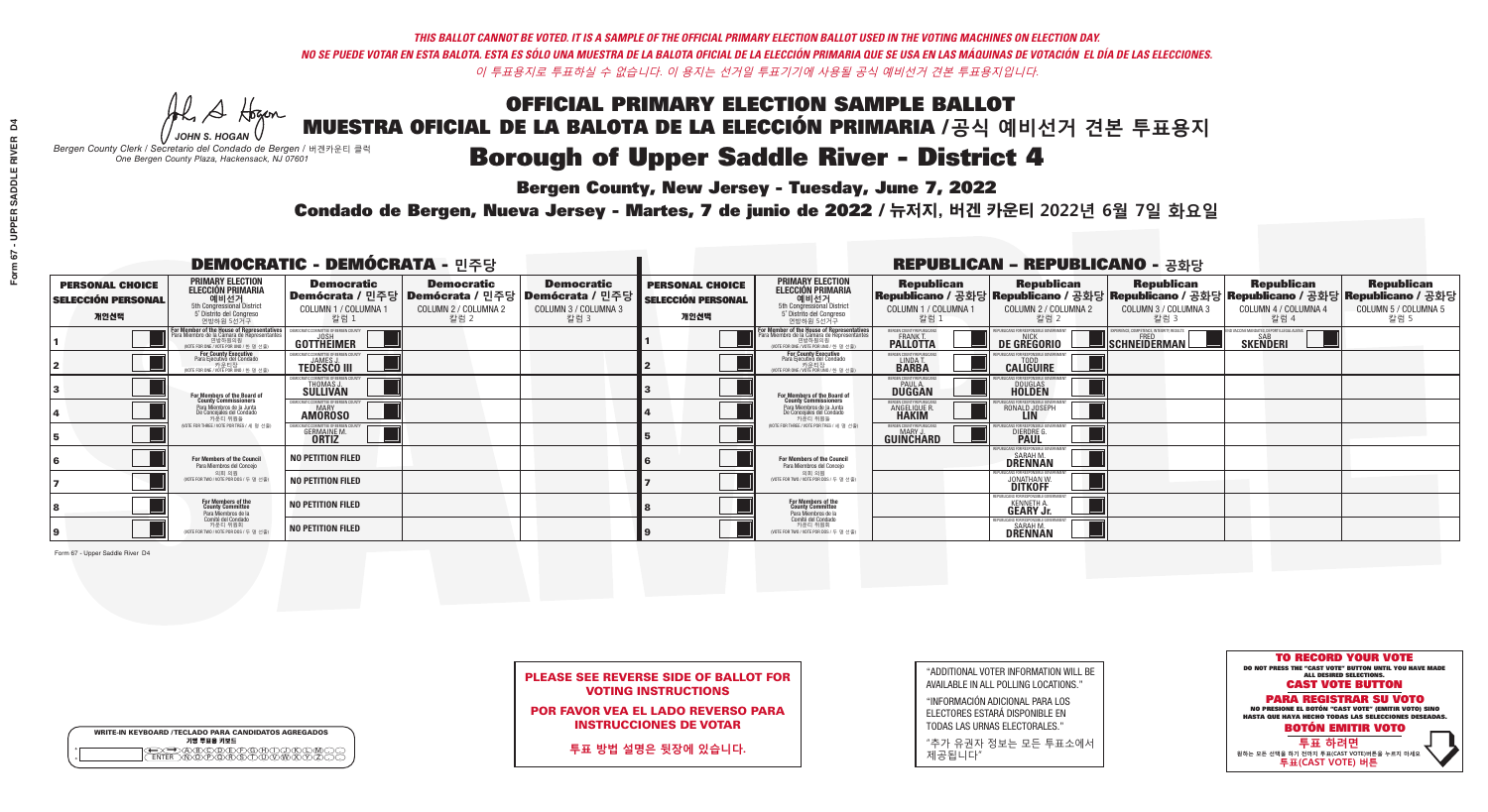**Bergen County, New Jersey - Tuesday, June 7, 2022** 

A Hogen *JOHN S. HOGAN*

| <b>WRITE-IN KEYBOARD /TECLADO PARA CANDIDATOS AGREGADOS</b><br>기명 투표용 키보드 |  |
|---------------------------------------------------------------------------|--|
| DABODE FOHD.<br>WOPOBSTUW                                                 |  |

*Bergen County Clerk / Secretario del Condado de Bergen /* 버겐카운티 클럭 *One Bergen County Plaza, Hackensack, NJ 07601*

Condado de Bergen, Nueva Jersey - Martes, 7 de junio de 2022 / 뉴저지, 버겐 카운티 2022년 6월 7일 화요일 *One Bergen County Plaza, Hackensack, NJ 07601*



|                            | <b>PLEASE SEE REVERSE SIDE OF BALLOT FOR</b> |
|----------------------------|----------------------------------------------|
| <b>VOTING INSTRUCTIONS</b> |                                              |

POR FAVOR VEA EL LADO REVERSO PARA INSTRUCCIONES DE VOTAR

**투표 방법 설명은 뒷장에 있습니다.**

"ADDITIONAL VOTER INFORMATION WILL BE AVAILABLE IN ALL POLLING LOCATIONS."

"INFORMACIÓN ADICIONAL PARA LOS ELECTORES ESTARÁ DISPONIBLE EN TODAS LAS URNAS ELECTORALES."

"추가 유권자 정보는 모든 투표소에서 제공됩니다"

| <b>DEMOCRATIC - DEMÓCRATA - 민주당</b>                         |                                                                                                                                               |                                                              |                                                                                       |                                                                      |                                                             |                                                                                                                                              |                                                            | <b>REPUBLICAN - REPUBLICANO - 공화당</b>                                 |                                                           |                                                                                                                                                |                                                   |
|-------------------------------------------------------------|-----------------------------------------------------------------------------------------------------------------------------------------------|--------------------------------------------------------------|---------------------------------------------------------------------------------------|----------------------------------------------------------------------|-------------------------------------------------------------|----------------------------------------------------------------------------------------------------------------------------------------------|------------------------------------------------------------|-----------------------------------------------------------------------|-----------------------------------------------------------|------------------------------------------------------------------------------------------------------------------------------------------------|---------------------------------------------------|
| <b>PERSONAL CHOICE</b><br><b>SELECCIÓN PERSONAL</b><br>개인선택 | <b>PRIMARY ELECTION</b><br>ELECCIÓN PRIMARIA<br>예비선거<br>5th Congressional District<br>5 Distrito del Congreso<br>연방하원 5선거구                    | <b>Democratic</b><br>COLUMN 1 / COLUMNA 1<br>칼럼 1            | <b>Democratic</b><br>│Demócrata / 민주당│Demócrata / 민주당<br>COLUMN 2 / COLUMNA 2<br>칼럼 2 | <b>Democratic</b><br>Demócrata / 민주당<br>COLUMN 3 / COLUMNA 3<br>칼럼 3 | <b>PERSONAL CHOICE</b><br><b>SELECCIÓN PERSONAL</b><br>개인선택 | <b>PRIMARY ELECTION</b><br>ELECCIÓN PRIMARIA<br>5th Congressional District<br>5° Distrito del Congreso<br>연방하워 5선거구                          | <b>Republican</b><br>COLUMN 1 / COLUMNA 1<br>■칼럼 :         | <b>Republican</b><br>COLUMN 2 / COLUMNA 2<br>칼럼 2                     | <b>Republican</b><br>COLUMN 3 / COLUMNA 3<br>칼럼 3         | <b>Republican</b><br>Republicano / 공화당 Republicano / 공화당 Republicano / 공화당 Republicano / 공화당 Republicano / 공화당<br>COLUMN 4 / COLUMNA 4<br>칼럼 4 | <b>Republican</b><br>COLUMN 5 / COLUMNA 5<br>칼럼 5 |
|                                                             | For Member of the House of Representatives<br>Para Miembro de la Cámara de Representantes<br>연방하원의원<br>(VOTE FOR ONE / VOTE POR UNO / 한 명 선출) | DEMOCRATIC COMMITTEE OF BERGEN COUNTY<br><b>GOTTHEIMER</b>   |                                                                                       |                                                                      |                                                             | For Member of the House of Representatives<br>Para Miembro de la Cámara de Representantes<br>연방하원의원<br>(VOTE FOR ONE / VOTE POR UNO / 한 명 선출 | ERGEN COUNTY REPUBLICANS<br><b>PALLOTTA</b>                | DE GREGORIO                                                           | KPERIENCE, COMPETENCE, INTEGRITY, RESULTS<br>SCHNEIDERMAN | VD VACCINE MANDATES, DEPORT ILLEGAL ALIENS.<br><b>SKENDERI</b>                                                                                 |                                                   |
|                                                             | For County Executive<br>Para Ejecutivo del Condado<br>WOTE FOR ONE / VOTE POR UNO / 한 명 선출)                                                   | JEMOCRATIC COMMITTEE OF BERGEN COUNTY<br><b>TEDESCO III</b>  |                                                                                       |                                                                      |                                                             | For County Executive<br>Para Ejecutivo del Condado<br>7 카운티장<br>(VOTE FOR ONE / VOTE POR UNO / 한 명 선출)                                       | BERGEN COUNTY REPUBLICAN:<br>LINDA T.                      | <b>CALIGUIRE</b>                                                      |                                                           |                                                                                                                                                |                                                   |
|                                                             | For Members of the Board of<br>County Commissioners                                                                                           | EMOCRATIC COMMITTEE OF BERGEN COUN'<br>THOMAS J.             |                                                                                       |                                                                      |                                                             | For Members of the Board of<br>County Commissioners                                                                                          | ERGEN COUNTY REPUBLICAN<br><b>PAUL A.</b><br><b>DUGGAN</b> | DOUGLAS<br>HOLDEN                                                     |                                                           |                                                                                                                                                |                                                   |
|                                                             | Para Miembros de la Junta<br>De Concejales del Condado<br>카운티 위원들                                                                             | MOCRATIC COMMITTEE OF BERGEN COUNT<br>MARY<br><b>AMÖROSO</b> |                                                                                       |                                                                      |                                                             | Para Miembros de la Junta<br>De Concejales del Condado<br>카운티 위원들                                                                            | ERGEN COUNTY REPUBLICAN!<br><b>ANGELIQUE R.</b>            | : ENR RESPANSIRI E GAV<br>RONALD JOSEPH<br><b>LIN</b>                 |                                                           |                                                                                                                                                |                                                   |
|                                                             | NOTE FOR THREE / VOTE POR TRES / 세 명 선출)                                                                                                      | IOCRATIC COMMITTEE OF BERGEN COL<br><b>GERMAINE M.</b>       |                                                                                       |                                                                      |                                                             | NOTE FOR THREE / VOTE POR TRES / 세 명 선출                                                                                                      | ERGEN COUNTY REPUBLICANS<br>MARY J<br>GUINCHARD            | FOR RESPONSIBLE G<br><b>DIERDRE</b>                                   |                                                           |                                                                                                                                                |                                                   |
|                                                             | <b>For Members of the Council</b><br>Para Miembros del Concejo                                                                                | <b>NO PETITION FILED</b>                                     |                                                                                       |                                                                      |                                                             | For Members of the Council<br>Para Miembros del Concejo                                                                                      |                                                            | <b>SARAH M.</b><br><b>DRENNAN</b>                                     |                                                           |                                                                                                                                                |                                                   |
|                                                             | 의회 의원<br>(VOTE FOR TWO / VOTE POR DOS / 두 명 선출)                                                                                               | <b>NO PETITION FILED</b>                                     |                                                                                       |                                                                      |                                                             | 의회 의원<br>(VOTE FOR TWO / VOTE POR DOS / 두 명 선출)                                                                                              |                                                            | <b>JONATHAN W</b><br>DITKOFF                                          |                                                           |                                                                                                                                                |                                                   |
|                                                             | For Members of the<br>County Committee<br>Para Miembros de la<br>Comité del Condado                                                           | <b>NO PETITION FILED</b>                                     |                                                                                       |                                                                      |                                                             | For Members of the<br>County Committee<br>Para Miembros de la<br>Comité del Condado                                                          |                                                            | <b>KENNETH A.</b><br><b>GEARY Jr.</b>                                 |                                                           |                                                                                                                                                |                                                   |
|                                                             | 카운티 위원회<br>NOTE FOR TWO / VOTE POR DOS / 두 명 선출)                                                                                              | <b>NO PETITION FILED</b>                                     |                                                                                       |                                                                      |                                                             | 카운티 위원회<br>(VOTE FOR TWO / VOTE POR DOS / 두 명 선출)                                                                                            |                                                            | REPUBLICANS FOR RESPONSIBLE GOVE<br><b>SARAH M.</b><br><b>DRENNAN</b> |                                                           |                                                                                                                                                |                                                   |